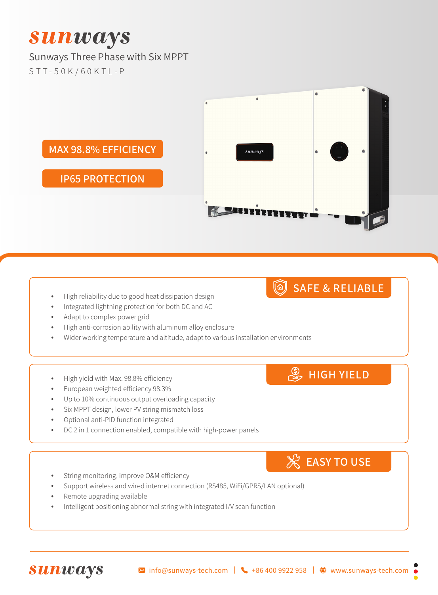# **Sunways**

#### Sunways Three Phase with Six MPPT STT-50K/60KTL-P



- High reliability due to good heat dissipation design
- Integrated lightning protection for both DC and AC
- Adapt to complex power grid
- High anti-corrosion ability with aluminum alloy enclosure
- Wider working temperature and altitude, adapt to various installation environments
- High yield with Max. 98.8% efficiency
- European weighted efficiency 98.3%
- • Up to 10% continuous output overloading capacity
- Six MPPT design, lower PV string mismatch loss
- Optional anti-PID function integrated
- DC 2 in 1 connection enabled, compatible with high-power panels
- String monitoring, improve O&M efficiency
- Support wireless and wired internet connection (RS485, WiFi/GPRS/LAN optional)
- Remote upgrading available

**Sunways** 

Intelligent positioning abnormal string with integrated I/V scan function

## SAFE & RELIABLE

**S** HIGH YIELD

**EASY TO USE**